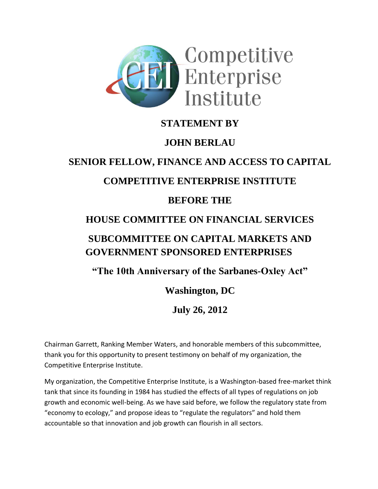

#### **STATEMENT BY**

## **JOHN BERLAU**

# **SENIOR FELLOW, FINANCE AND ACCESS TO CAPITAL**

## **COMPETITIVE ENTERPRISE INSTITUTE**

#### **BEFORE THE**

## **HOUSE COMMITTEE ON FINANCIAL SERVICES**

## **SUBCOMMITTEE ON CAPITAL MARKETS AND GOVERNMENT SPONSORED ENTERPRISES**

#### **"The 10th Anniversary of the Sarbanes-Oxley Act"**

## **Washington, DC**

## **July 26, 2012**

Chairman Garrett, Ranking Member Waters, and honorable members of this subcommittee, thank you for this opportunity to present testimony on behalf of my organization, the Competitive Enterprise Institute.

My organization, the Competitive Enterprise Institute, is a Washington-based free-market think tank that since its founding in 1984 has studied the effects of all types of regulations on job growth and economic well-being. As we have said before, we follow the regulatory state from "economy to ecology," and propose ideas to "regulate the regulators" and hold them accountable so that innovation and job growth can flourish in all sectors.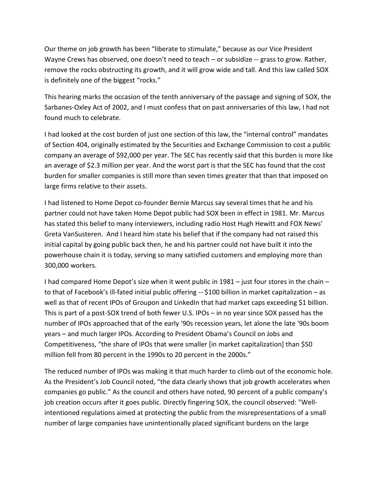Our theme on job growth has been "liberate to stimulate," because as our Vice President Wayne Crews has observed, one doesn't need to teach – or subsidize -- grass to grow. Rather, remove the rocks obstructing its growth, and it will grow wide and tall. And this law called SOX is definitely one of the biggest "rocks."

This hearing marks the occasion of the tenth anniversary of the passage and signing of SOX, the Sarbanes-Oxley Act of 2002, and I must confess that on past anniversaries of this law, I had not found much to celebrate.

I had looked at the cost burden of just one section of this law, the "internal control" mandates of Section 404, originally estimated by the Securities and Exchange Commission to cost a public company an average of \$92,000 per year. The SEC has recently said that this burden is more like an average of \$2.3 million per year. And the worst part is that the SEC has found that the cost burden for smaller companies is still more than seven times greater that than that imposed on large firms relative to their assets.

I had listened to Home Depot co-founder Bernie Marcus say several times that he and his partner could not have taken Home Depot public had SOX been in effect in 1981. Mr. Marcus has stated this belief to many interviewers, including radio Host Hugh Hewitt and FOX News' Greta VanSusteren. And I heard him state his belief that if the company had not raised this initial capital by going public back then, he and his partner could not have built it into the powerhouse chain it is today, serving so many satisfied customers and employing more than 300,000 workers.

I had compared Home Depot's size when it went public in 1981 – just four stores in the chain – to that of Facebook's ill-fated initial public offering -- \$100 billion in market capitalization – as well as that of recent IPOs of Groupon and LinkedIn that had market caps exceeding \$1 billion. This is part of a post-SOX trend of both fewer U.S. IPOs – in no year since SOX passed has the number of IPOs approached that of the early '90s recession years, let alone the late '90s boom years – and much larger IPOs. According to President Obama's Council on Jobs and Competitiveness, "the share of IPOs that were smaller [in market capitalization] than \$50 million fell from 80 percent in the 1990s to 20 percent in the 2000s."

The reduced number of IPOs was making it that much harder to climb out of the economic hole. As the President's Job Council noted, "the data clearly shows that job growth accelerates when companies go public." As the council and others have noted, 90 percent of a public company's job creation occurs after it goes public. Directly fingering SOX, the council observed: "Wellintentioned regulations aimed at protecting the public from the misrepresentations of a small number of large companies have unintentionally placed significant burdens on the large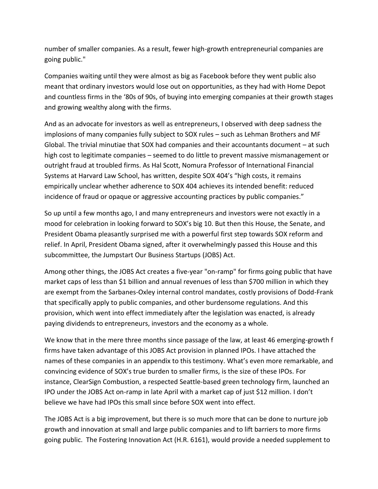number of smaller companies. As a result, fewer high-growth entrepreneurial companies are going public."

Companies waiting until they were almost as big as Facebook before they went public also meant that ordinary investors would lose out on opportunities, as they had with Home Depot and countless firms in the '80s of 90s, of buying into emerging companies at their growth stages and growing wealthy along with the firms.

And as an advocate for investors as well as entrepreneurs, I observed with deep sadness the implosions of many companies fully subject to SOX rules – such as Lehman Brothers and MF Global. The trivial minutiae that SOX had companies and their accountants document – at such high cost to legitimate companies – seemed to do little to prevent massive mismanagement or outright fraud at troubled firms. As Hal Scott, Nomura Professor of International Financial Systems at Harvard Law School, has written, despite SOX 404's "high costs, it remains empirically unclear whether adherence to SOX 404 achieves its intended benefit: reduced incidence of fraud or opaque or aggressive accounting practices by public companies."

So up until a few months ago, I and many entrepreneurs and investors were not exactly in a mood for celebration in looking forward to SOX's big 10. But then this House, the Senate, and President Obama pleasantly surprised me with a powerful first step towards SOX reform and relief. In April, President Obama signed, after it overwhelmingly passed this House and this subcommittee, the Jumpstart Our Business Startups (JOBS) Act.

Among other things, the JOBS Act creates a five-year "on-ramp" for firms going public that have market caps of less than \$1 billion and annual revenues of less than \$700 million in which they are exempt from the Sarbanes-Oxley internal control mandates, costly provisions of Dodd-Frank that specifically apply to public companies, and other burdensome regulations. And this provision, which went into effect immediately after the legislation was enacted, is already paying dividends to entrepreneurs, investors and the economy as a whole.

We know that in the mere three months since passage of the law, at least 46 emerging-growth f firms have taken advantage of this JOBS Act provision in planned IPOs. I have attached the names of these companies in an appendix to this testimony. What's even more remarkable, and convincing evidence of SOX's true burden to smaller firms, is the size of these IPOs. For instance, ClearSign Combustion, a respected Seattle-based green technology firm, launched an IPO under the JOBS Act on-ramp in late April with a market cap of just \$12 million. I don't believe we have had IPOs this small since before SOX went into effect.

The JOBS Act is a big improvement, but there is so much more that can be done to nurture job growth and innovation at small and large public companies and to lift barriers to more firms going public. The Fostering Innovation Act (H.R. 6161), would provide a needed supplement to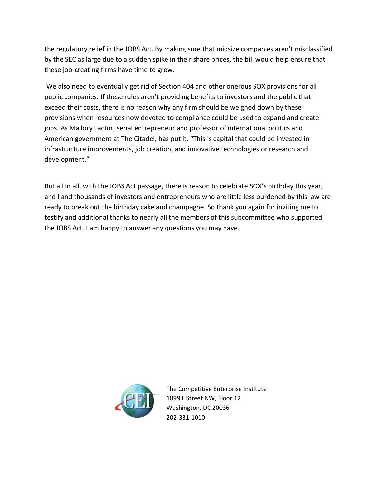the regulatory relief in the JOBS Act. By making sure that midsize companies aren't misclassified by the SEC as large due to a sudden spike in their share prices, the bill would help ensure that these job-creating firms have time to grow.

We also need to eventually get rid of Section 404 and other onerous SOX provisions for all public companies. If these rules aren't providing benefits to investors and the public that exceed their costs, there is no reason why any firm should be weighed down by these provisions when resources now devoted to compliance could be used to expand and create jobs. As Mallory Factor, serial entrepreneur and professor of international politics and American government at The Citadel, has put it, "This is capital that could be invested in infrastructure improvements, job creation, and innovative technologies or research and development."

But all in all, with the JOBS Act passage, there is reason to celebrate SOX's birthday this year, and I and thousands of investors and entrepreneurs who are little less burdened by this law are ready to break out the birthday cake and champagne. So thank you again for inviting me to testify and additional thanks to nearly all the members of this subcommittee who supported the JOBS Act. I am happy to answer any questions you may have.



The Competitive Enterprise Institute 1899 L Street NW, Floor 12 Washington, DC 20036 202-331-1010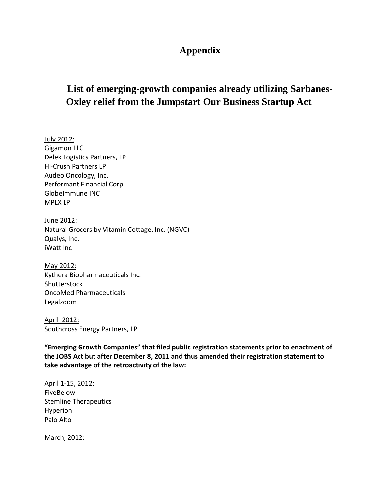#### **Appendix**

## **List of emerging-growth companies already utilizing Sarbanes-Oxley relief from the Jumpstart Our Business Startup Act**

July 2012: Gigamon LLC Delek Logistics Partners, LP Hi-Crush Partners LP Audeo Oncology, Inc. Performant Financial Corp GlobeImmune INC MPLX LP

June 2012: Natural Grocers by Vitamin Cottage, Inc. (NGVC) Qualys, Inc. iWatt Inc

May 2012: Kythera Biopharmaceuticals Inc. **Shutterstock** OncoMed Pharmaceuticals Legalzoom

April 2012: Southcross Energy Partners, LP

**"Emerging Growth Companies" that filed public registration statements prior to enactment of the JOBS Act but after December 8, 2011 and thus amended their registration statement to take advantage of the retroactivity of the law:**

April 1-15, 2012: FiveBelow Stemline Therapeutics Hyperion Palo Alto

March, 2012: